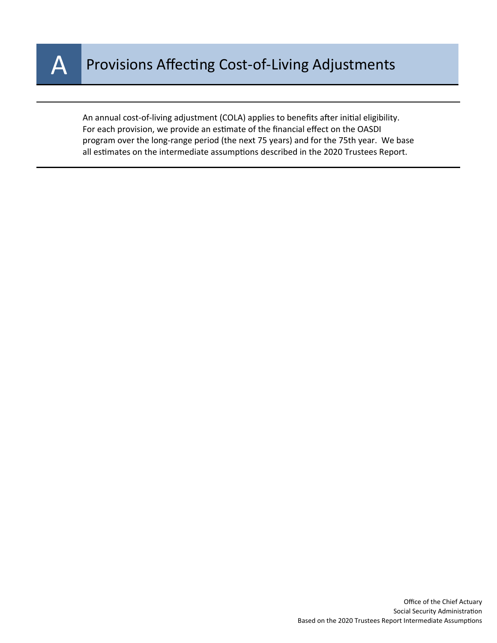

An annual cost-of-living adjustment (COLA) applies to benefits after initial eligibility. For each provision, we provide an estimate of the financial effect on the OASDI program over the long-range period (the next 75 years) and for the 75th year. We base all estimates on the intermediate assumptions described in the 2020 Trustees Report.